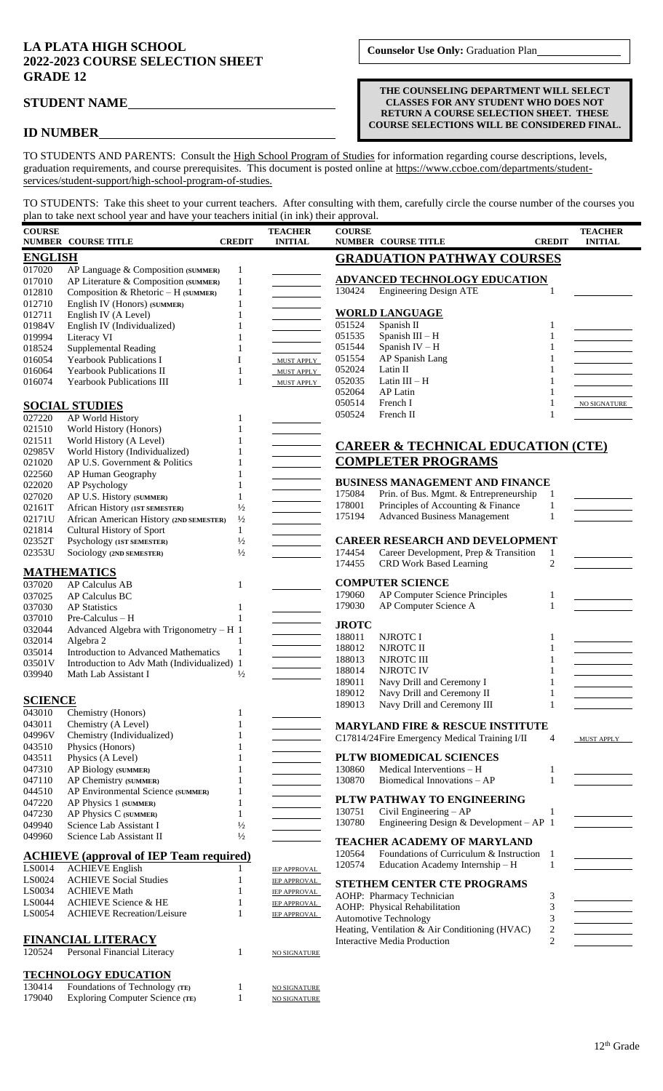## **LA PLATA HIGH SCHOOL 2022-2023 COURSE SELECTION SHEET GRADE 12**

179040 Exploring Computer Science (TE) 1 NO SIGNATURE

**THE COUNSELING DEPARTMENT WILL SELECT CLASSES FOR ANY STUDENT WHO DOES NOT RETURN A COURSE SELECTION SHEET. THESE COURSE SELECTIONS WILL BE CONSIDERED FINAL.**

## **STUDENT NAME**

## **ID NUMBER**

TO STUDENTS AND PARENTS: Consult the High School Program of Studies for information regarding course descriptions, levels, graduation requirements, and course prerequisites. This document is posted online at https://www.ccboe.com/departments/studentservices/student-support/high-school-program-of-studies.

TO STUDENTS: Take this sheet to your current teachers. After consulting with them, carefully circle the course number of the courses you plan to take next school year and have your teachers initial (in ink) their approval.

| <b>COURSE</b>                                                 | <b>NUMBER COURSE TITLE</b>                                                 | <b>CREDIT</b>                | <b>TEACHER</b><br><b>INITIAL</b>           | <b>COURSE</b><br><b>NUMBER COURSE TITLE</b><br><b>CREDIT</b>                                                           | <b>TEACHER</b><br><b>INITIAL</b> |  |  |
|---------------------------------------------------------------|----------------------------------------------------------------------------|------------------------------|--------------------------------------------|------------------------------------------------------------------------------------------------------------------------|----------------------------------|--|--|
|                                                               |                                                                            |                              |                                            |                                                                                                                        |                                  |  |  |
| <b>ENGLISH</b><br><b>GRADUATION PATHWAY COURSES</b><br>017020 |                                                                            |                              |                                            |                                                                                                                        |                                  |  |  |
| 017010                                                        | AP Language & Composition (SUMMER)<br>AP Literature & Composition (SUMMER) | $\mathbf{1}$<br>$\mathbf{1}$ |                                            | <b>ADVANCED TECHNOLOGY EDUCATION</b>                                                                                   |                                  |  |  |
| 012810                                                        | Composition & Rhetoric - H (SUMMER)                                        | $\mathbf{1}$                 |                                            | 130424<br><b>Engineering Design ATE</b>                                                                                |                                  |  |  |
| 012710                                                        | English IV (Honors) (SUMMER)                                               | $\mathbf{1}$                 |                                            |                                                                                                                        |                                  |  |  |
| 012711                                                        | English IV (A Level)                                                       | 1                            |                                            | <b>WORLD LANGUAGE</b>                                                                                                  |                                  |  |  |
| 01984V                                                        | English IV (Individualized)                                                | 1                            |                                            | 051524<br>Spanish II<br>1                                                                                              |                                  |  |  |
| 019994                                                        | Literacy VI                                                                | 1                            |                                            | 051535<br>Spanish III - H<br>1                                                                                         |                                  |  |  |
| 018524                                                        | <b>Supplemental Reading</b>                                                |                              |                                            | 051544<br>Spanish IV - H<br>1                                                                                          |                                  |  |  |
| 016054                                                        | <b>Yearbook Publications I</b>                                             | I                            | MUST APPLY                                 | 051554<br>AP Spanish Lang<br>1                                                                                         |                                  |  |  |
| 016064                                                        | <b>Yearbook Publications II</b>                                            | 1                            | MUST APPLY                                 | 052024<br>Latin II<br>052035<br>Latin $III - H$                                                                        |                                  |  |  |
| 016074                                                        | <b>Yearbook Publications III</b>                                           | 1                            | MUST APPLY                                 | 052064<br><b>AP Latin</b><br>1                                                                                         |                                  |  |  |
|                                                               |                                                                            |                              |                                            | 050514<br>French I<br>1                                                                                                | NO SIGNATURE                     |  |  |
| 027220                                                        | <b>SOCIAL STUDIES</b>                                                      |                              |                                            | 050524<br>French II<br>1                                                                                               |                                  |  |  |
| 021510                                                        | AP World History<br>World History (Honors)                                 | 1                            |                                            |                                                                                                                        |                                  |  |  |
| 021511                                                        | World History (A Level)                                                    |                              |                                            |                                                                                                                        |                                  |  |  |
| 02985V                                                        | World History (Individualized)                                             |                              |                                            | <b>CAREER &amp; TECHNICAL EDUCATION (CTE)</b>                                                                          |                                  |  |  |
| 021020                                                        | AP U.S. Government & Politics                                              | 1                            |                                            | <b>COMPLETER PROGRAMS</b>                                                                                              |                                  |  |  |
| 022560                                                        | AP Human Geography                                                         | 1                            |                                            |                                                                                                                        |                                  |  |  |
| 022020                                                        | AP Psychology                                                              | 1                            |                                            | <b>BUSINESS MANAGEMENT AND FINANCE</b>                                                                                 |                                  |  |  |
| 027020                                                        | AP U.S. History (SUMMER)                                                   | 1                            |                                            | Prin. of Bus. Mgmt. & Entrepreneurship<br>175084<br>1                                                                  |                                  |  |  |
| 02161T                                                        | African History (IST SEMESTER)                                             | $\frac{1}{2}$                |                                            | 178001<br>Principles of Accounting & Finance<br>$\mathbf{1}$                                                           |                                  |  |  |
| 02171U                                                        | African American History (2ND SEMESTER)                                    | $\frac{1}{2}$                |                                            | 175194<br><b>Advanced Business Management</b><br>1                                                                     |                                  |  |  |
| 021814                                                        | Cultural History of Sport                                                  | $\mathbf{1}$                 |                                            |                                                                                                                        |                                  |  |  |
| 02352T                                                        | Psychology (1ST SEMESTER)                                                  | $\frac{1}{2}$                |                                            | <b>CAREER RESEARCH AND DEVELOPMENT</b>                                                                                 |                                  |  |  |
| 02353U                                                        | Sociology (2ND SEMESTER)                                                   | $\frac{1}{2}$                |                                            | 174454<br>Career Development, Prep & Transition<br>$\mathbf{1}$<br>$\overline{c}$<br>174455<br>CRD Work Based Learning |                                  |  |  |
|                                                               | <b>MATHEMATICS</b>                                                         |                              |                                            |                                                                                                                        |                                  |  |  |
| 037020                                                        | <b>AP Calculus AB</b>                                                      | $\mathbf{1}$                 |                                            | <b>COMPUTER SCIENCE</b>                                                                                                |                                  |  |  |
| 037025                                                        | AP Calculus BC                                                             |                              |                                            | AP Computer Science Principles<br>179060<br>1                                                                          |                                  |  |  |
| 037030                                                        | <b>AP</b> Statistics                                                       | $\mathbf{1}$                 |                                            | 179030<br>AP Computer Science A<br>1                                                                                   |                                  |  |  |
| 037010                                                        | $Pre-Calculus - H$                                                         |                              |                                            |                                                                                                                        |                                  |  |  |
| 032044                                                        | Advanced Algebra with Trigonometry - H 1                                   |                              |                                            | <b>JROTC</b>                                                                                                           |                                  |  |  |
| 032014                                                        | Algebra 2                                                                  | $\mathbf{1}$                 |                                            | 188011<br>NJROTC I<br>1<br>188012<br>NJROTC II                                                                         |                                  |  |  |
| 035014                                                        | Introduction to Advanced Mathematics                                       | $\mathbf{1}$                 |                                            | $\mathbf{1}$<br>188013<br>NJROTC III<br>1                                                                              |                                  |  |  |
| 03501V                                                        | Introduction to Adv Math (Individualized) 1                                |                              |                                            | 188014<br><b>NJROTC IV</b><br>1                                                                                        |                                  |  |  |
| 039940                                                        | Math Lab Assistant I                                                       | $\frac{1}{2}$                |                                            | 189011<br>Navy Drill and Ceremony I<br>1                                                                               |                                  |  |  |
|                                                               |                                                                            |                              |                                            | 189012<br>Navy Drill and Ceremony II<br>$\mathbf{1}$                                                                   |                                  |  |  |
| <b>SCIENCE</b>                                                |                                                                            |                              |                                            | Navy Drill and Ceremony III<br>189013<br>$\mathbf{1}$                                                                  |                                  |  |  |
| 043010                                                        | Chemistry (Honors)                                                         | 1                            |                                            |                                                                                                                        |                                  |  |  |
| 043011                                                        | Chemistry (A Level)                                                        | $\mathbf{1}$                 |                                            | <b>MARYLAND FIRE &amp; RESCUE INSTITUTE</b>                                                                            |                                  |  |  |
| 04996V                                                        | Chemistry (Individualized)                                                 | 1                            |                                            | C17814/24Fire Emergency Medical Training I/II<br>4                                                                     | MUST APPLY                       |  |  |
| 043510<br>043511                                              | Physics (Honors)<br>Physics (A Level)                                      | 1<br>1                       |                                            | PLTW BIOMEDICAL SCIENCES                                                                                               |                                  |  |  |
| 047310                                                        | AP Biology (SUMMER)                                                        | 1                            |                                            | 130860<br>Medical Interventions - H<br>$\mathbf{1}$                                                                    |                                  |  |  |
| 047110                                                        | AP Chemistry (SUMMER)                                                      | 1                            |                                            | 130870<br>Biomedical Innovations - AP<br>1                                                                             |                                  |  |  |
| 044510                                                        | AP Environmental Science (SUMMER)                                          | $\mathbf{1}$                 |                                            |                                                                                                                        |                                  |  |  |
| 047220                                                        | AP Physics 1 (SUMMER)                                                      | 1                            |                                            | PLTW PATHWAY TO ENGINEERING                                                                                            |                                  |  |  |
| 047230                                                        | AP Physics C (SUMMER)                                                      | 1                            |                                            | 130751<br>Civil Engineering - AP<br>1                                                                                  |                                  |  |  |
| 049940                                                        | Science Lab Assistant I                                                    | $\frac{1}{2}$                |                                            | 130780<br>Engineering Design & Development - $AP$ 1                                                                    |                                  |  |  |
| 049960                                                        | Science Lab Assistant II                                                   | $\frac{1}{2}$                |                                            | TEACHER ACADEMY OF MARYLAND                                                                                            |                                  |  |  |
|                                                               |                                                                            |                              |                                            | 120564<br>Foundations of Curriculum & Instruction 1                                                                    |                                  |  |  |
|                                                               | <b>ACHIEVE</b> (approval of IEP Team required)                             |                              |                                            | 120574<br>Education Academy Internship - H<br>$\mathbf{1}$                                                             |                                  |  |  |
| LS0014                                                        | <b>ACHIEVE English</b>                                                     | 1                            | IEP APPROVAL                               |                                                                                                                        |                                  |  |  |
| LS0024<br>LS0034                                              | <b>ACHIEVE Social Studies</b><br><b>ACHIEVE Math</b>                       | 1                            | <b>IEP APPROVAL</b>                        | STETHEM CENTER CTE PROGRAMS                                                                                            |                                  |  |  |
| LS0044                                                        | <b>ACHIEVE Science &amp; HE</b>                                            | 1<br>1                       | <b>IEP APPROVAL</b>                        | AOHP: Pharmacy Technician<br>3                                                                                         |                                  |  |  |
| LS0054                                                        | <b>ACHIEVE Recreation/Leisure</b>                                          | $\mathbf{1}$                 | <b>IEP APPROVAL</b><br><b>IEP APPROVAL</b> | $\mathfrak{Z}$<br>AOHP: Physical Rehabilitation                                                                        |                                  |  |  |
|                                                               |                                                                            |                              |                                            | 3<br><b>Automotive Technology</b>                                                                                      |                                  |  |  |
| <b>FINANCIAL LITERACY</b>                                     |                                                                            |                              |                                            | $\sqrt{2}$<br>Heating, Ventilation & Air Conditioning (HVAC)                                                           |                                  |  |  |
| 120524                                                        | Personal Financial Literacy                                                | 1                            |                                            | <b>Interactive Media Production</b><br>$\overline{c}$                                                                  |                                  |  |  |
|                                                               |                                                                            |                              | NO SIGNATURE                               |                                                                                                                        |                                  |  |  |
|                                                               | <b>TECHNOLOGY EDUCATION</b>                                                |                              |                                            |                                                                                                                        |                                  |  |  |
| 130414                                                        | Foundations of Technology (TE)                                             |                              | <b>NO SIGNATURE</b>                        |                                                                                                                        |                                  |  |  |